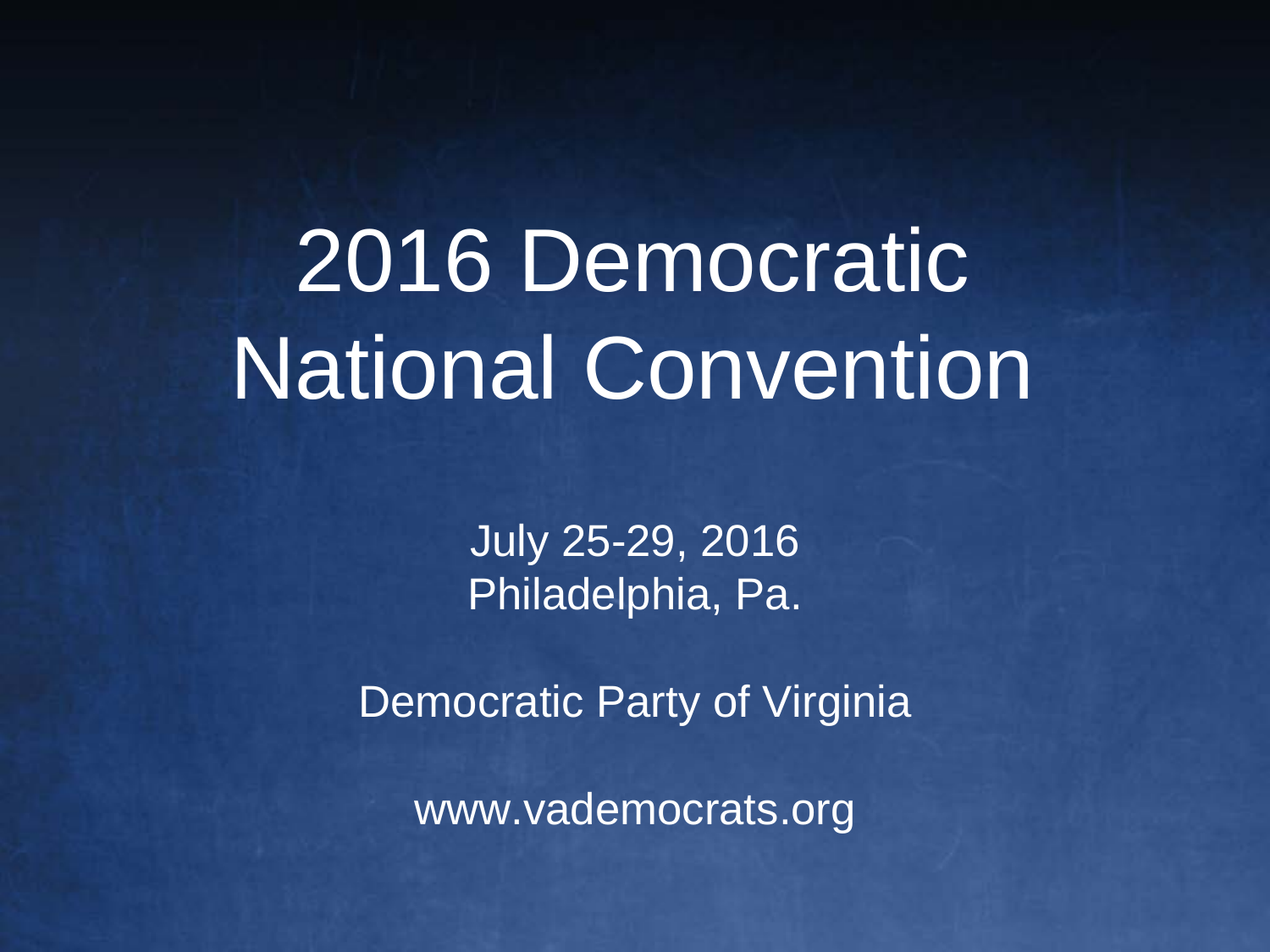# 2016 Democratic National Convention

July 25-29, 2016 Philadelphia, Pa.

**Democratic Party of Virginia** 

www.vademocrats.org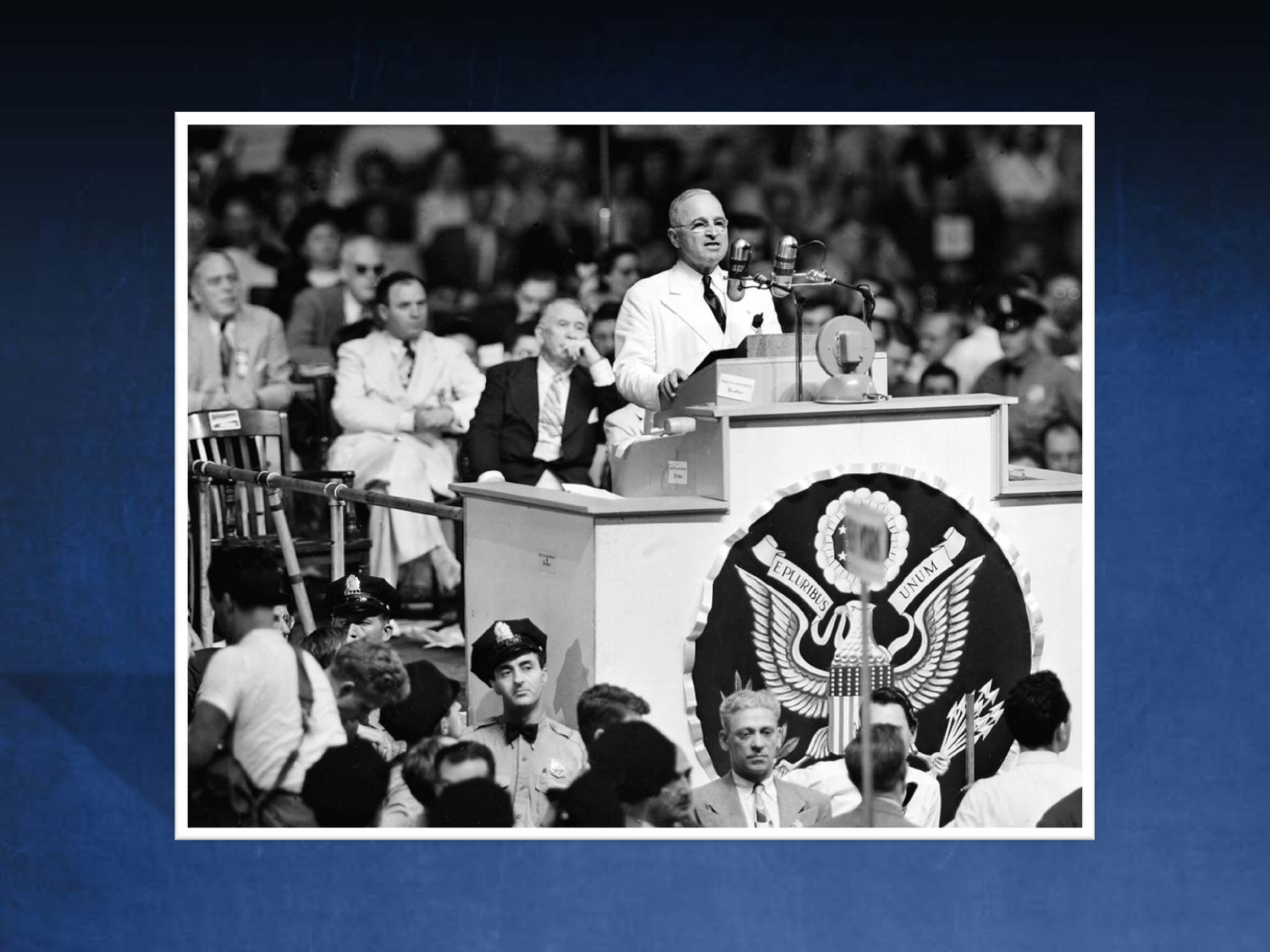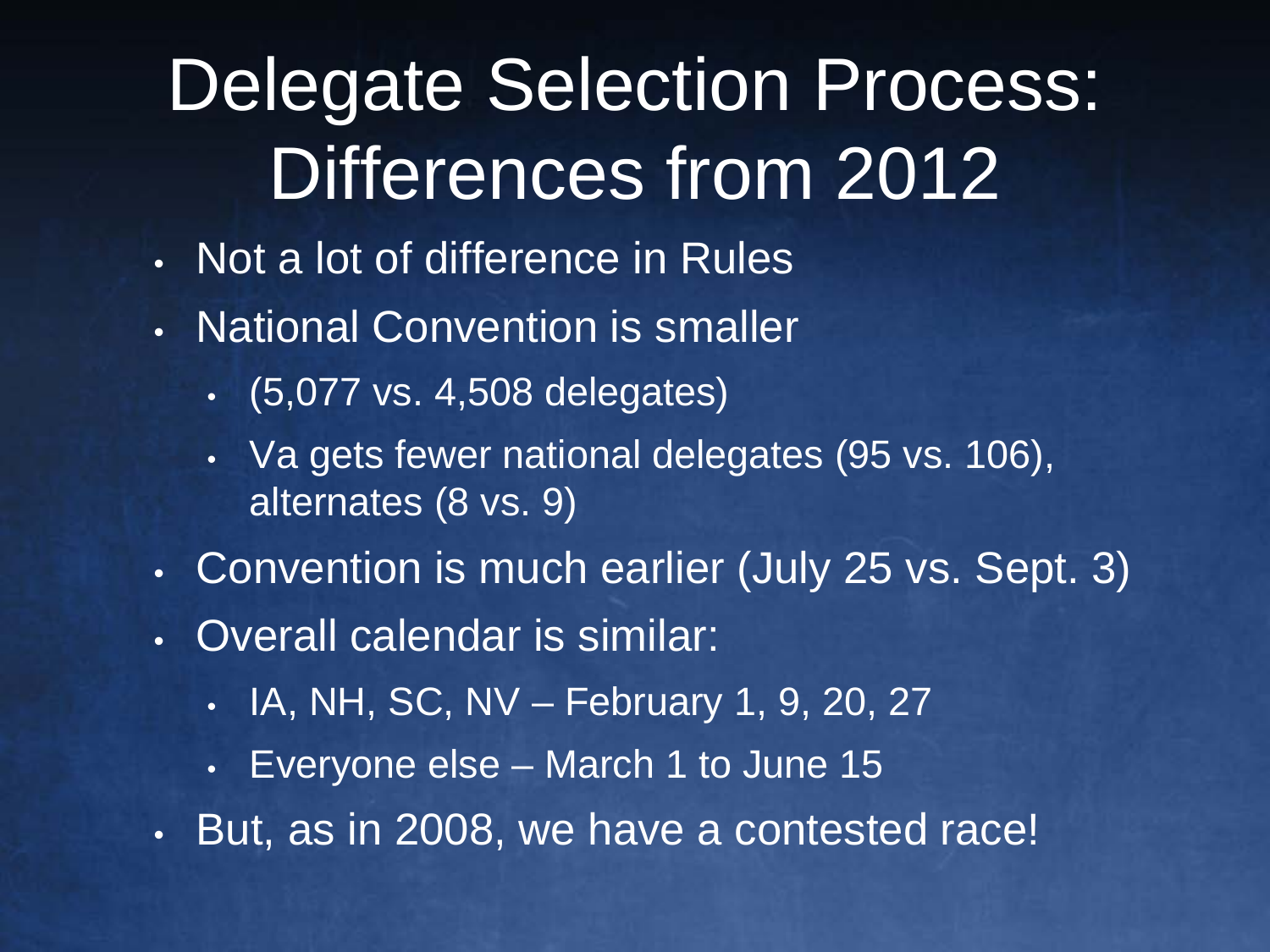#### Delegate Selection Process: Differences from 2012

- Not a lot of difference in Rules
- National Convention is smaller
	- (5,077 vs. 4,508 delegates)
	- Va gets fewer national delegates (95 vs. 106), alternates (8 vs. 9)
- Convention is much earlier (July 25 vs. Sept. 3)
- Overall calendar is similar:
	- IA, NH, SC, NV February 1, 9, 20, 27
	- Everyone else March 1 to June 15
- But, as in 2008, we have a contested race!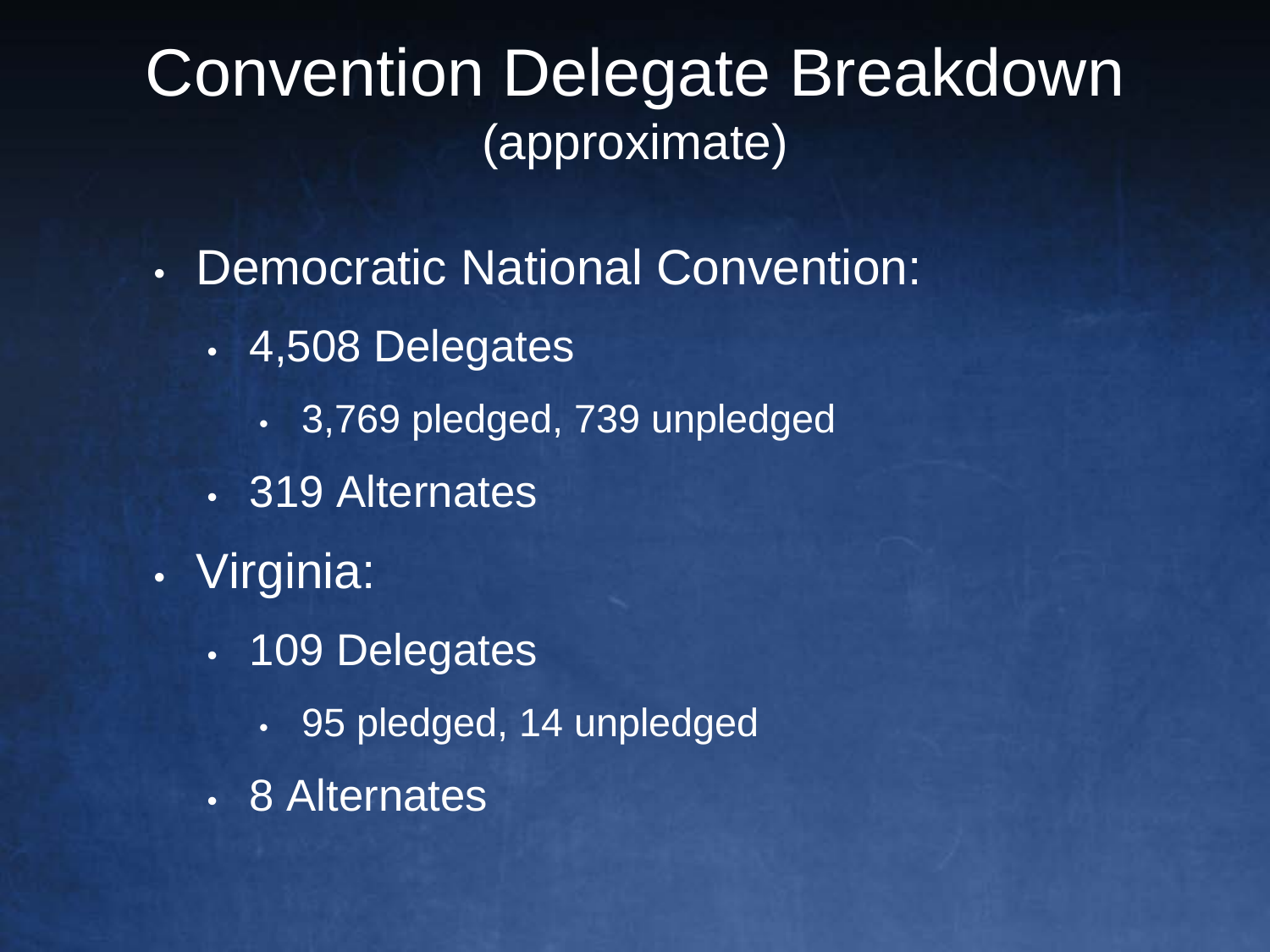#### Convention Delegate Breakdown (approximate)

- Democratic National Convention:
	- 4,508 Delegates
		- 3,769 pledged, 739 unpledged
	- 319 Alternates
- Virginia:
	- 109 Delegates
		- 95 pledged, 14 unpledged
	- 8 Alternates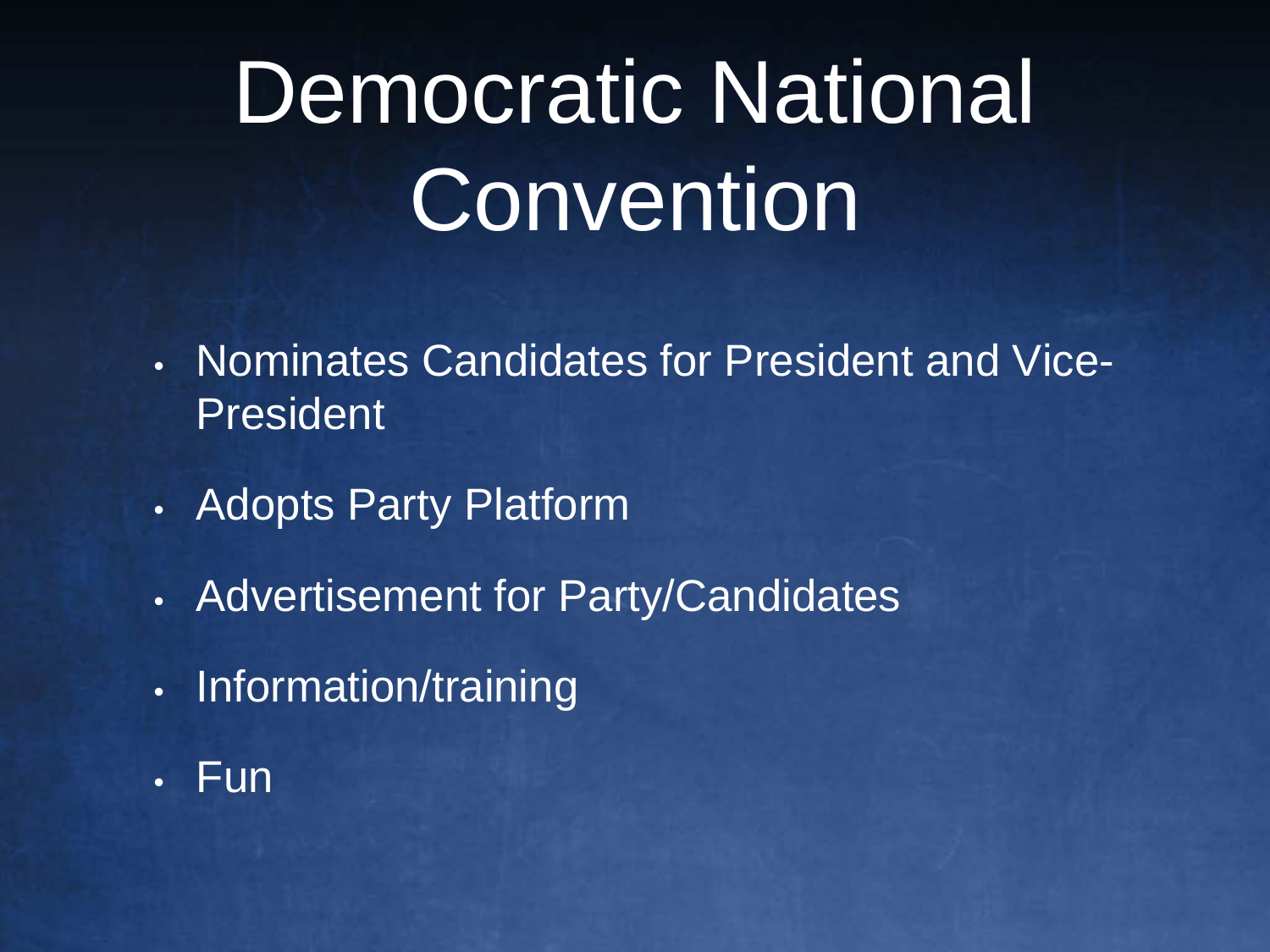# Democratic National Convention

- Nominates Candidates for President and Vice-President
- Adopts Party Platform
- Advertisement for Party/Candidates
- Information/training
- Fun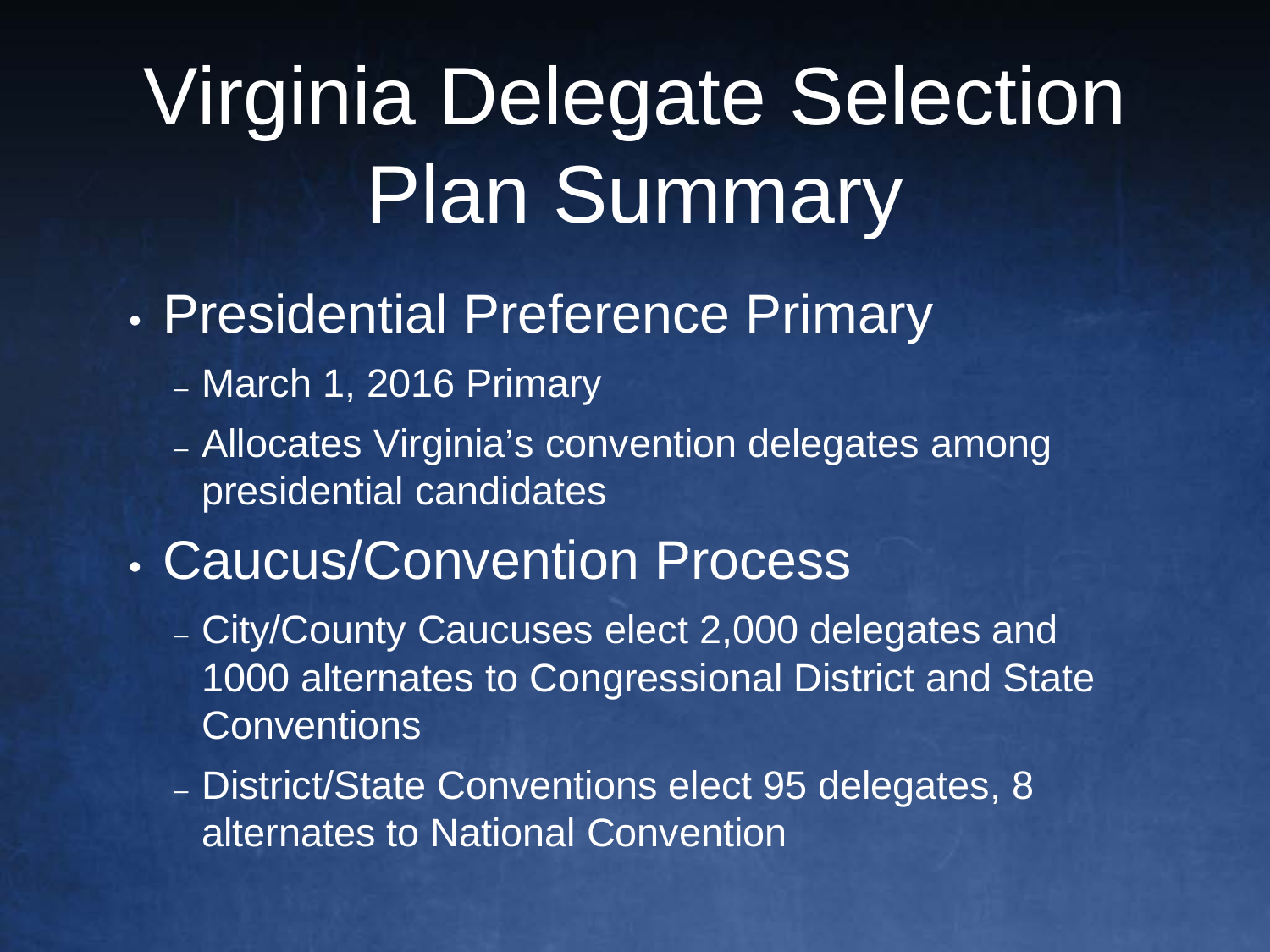# Virginia Delegate Selection Plan Summary

- Presidential Preference Primary
	- March 1, 2016 Primary
	- Allocates Virginia's convention delegates among presidential candidates
- Caucus/Convention Process
	- City/County Caucuses elect 2,000 delegates and 1000 alternates to Congressional District and State **Conventions**
	- District/State Conventions elect 95 delegates, 8 alternates to National Convention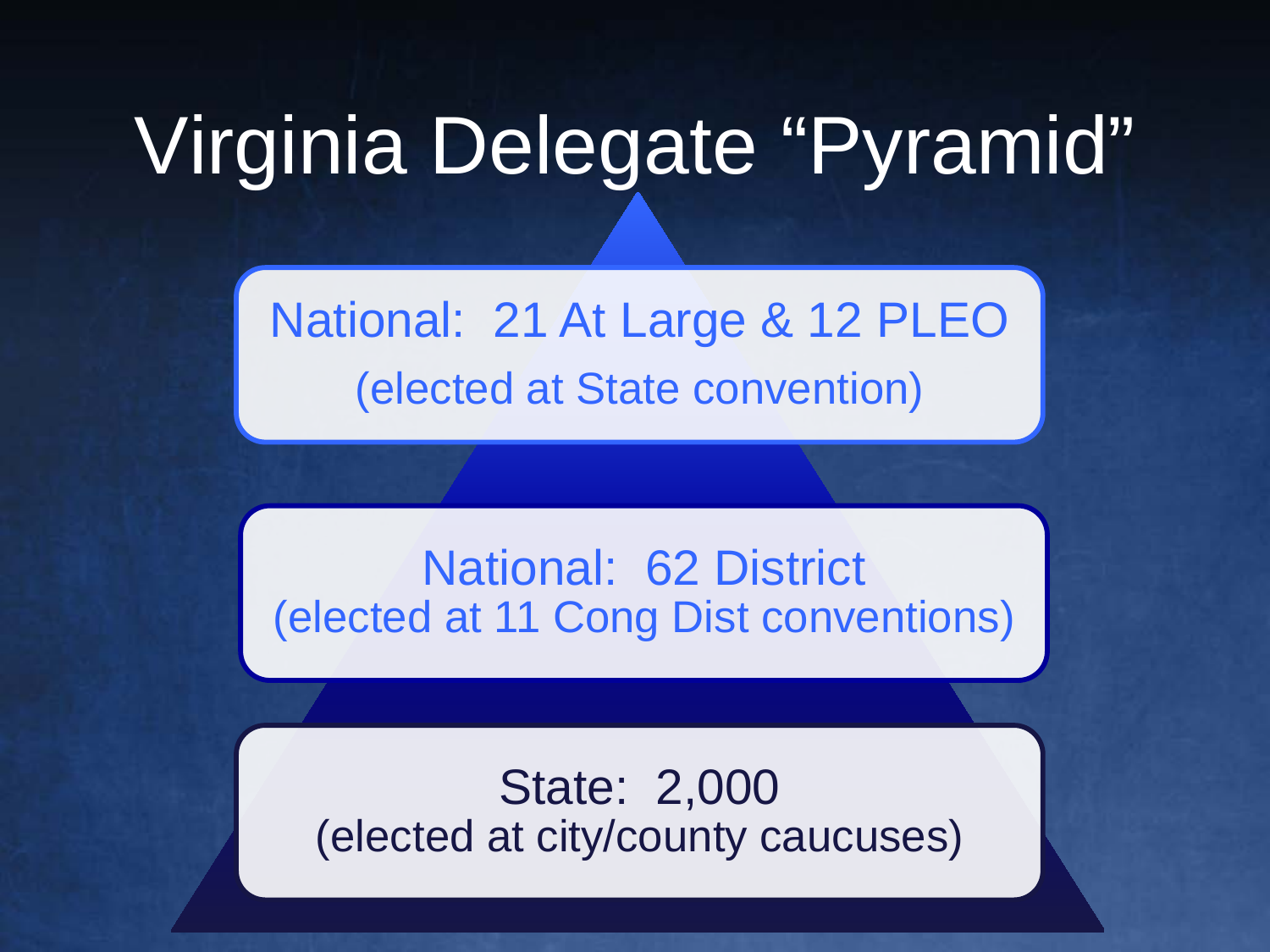### Virginia Delegate "Pyramid"

National: 21 At Large & 12 PLEO (elected at State convention)

#### National: 62 District (elected at 11 Cong Dist conventions)

State: 2,000 (elected at city/county caucuses)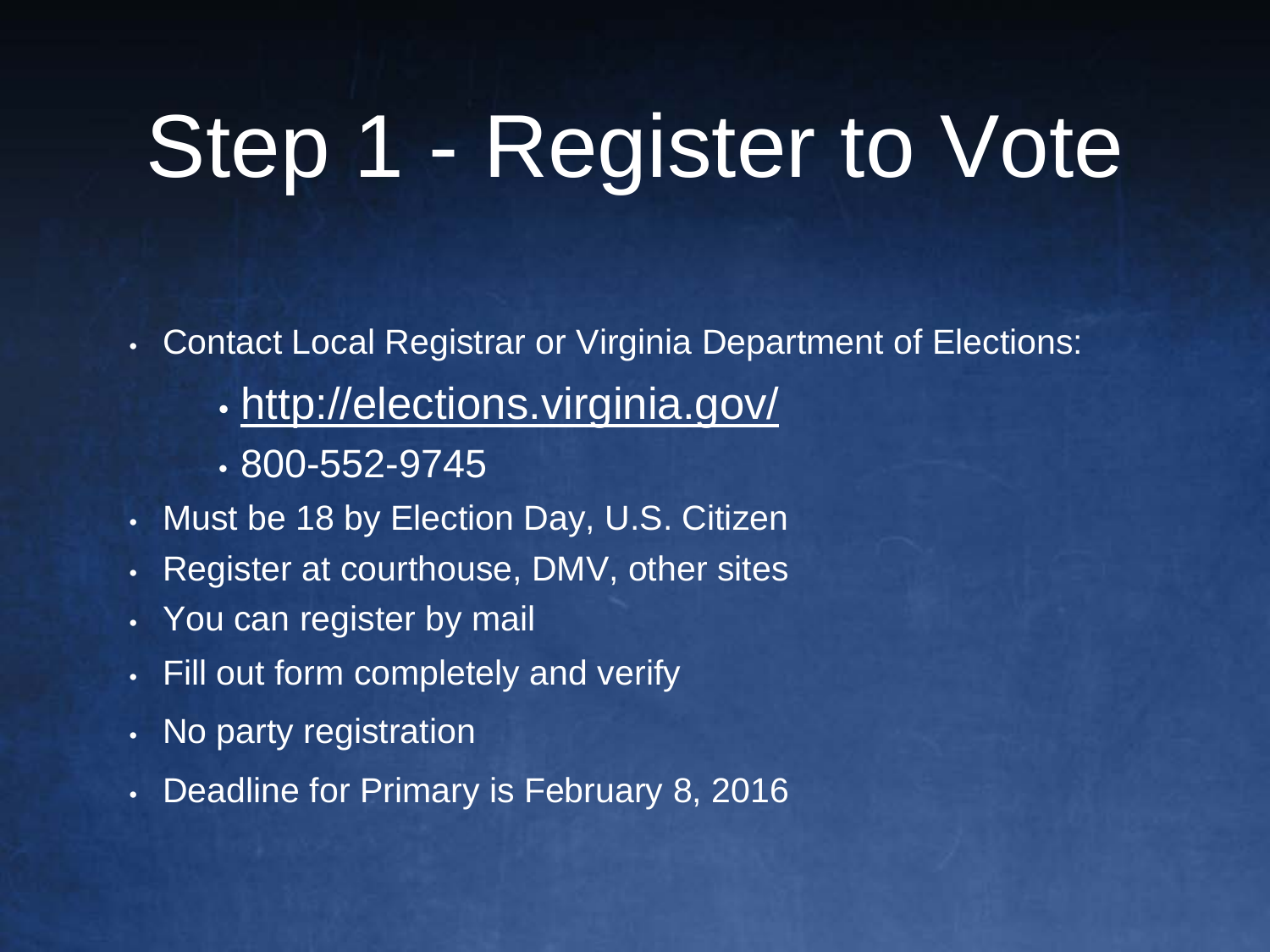# Step 1 - Register to Vote

• Contact Local Registrar or Virginia Department of Elections:

- http://elections.virginia.gov/
- 800-552-9745
- Must be 18 by Election Day, U.S. Citizen
- Register at courthouse, DMV, other sites
- You can register by mail
- Fill out form completely and verify
- No party registration
- Deadline for Primary is February 8, 2016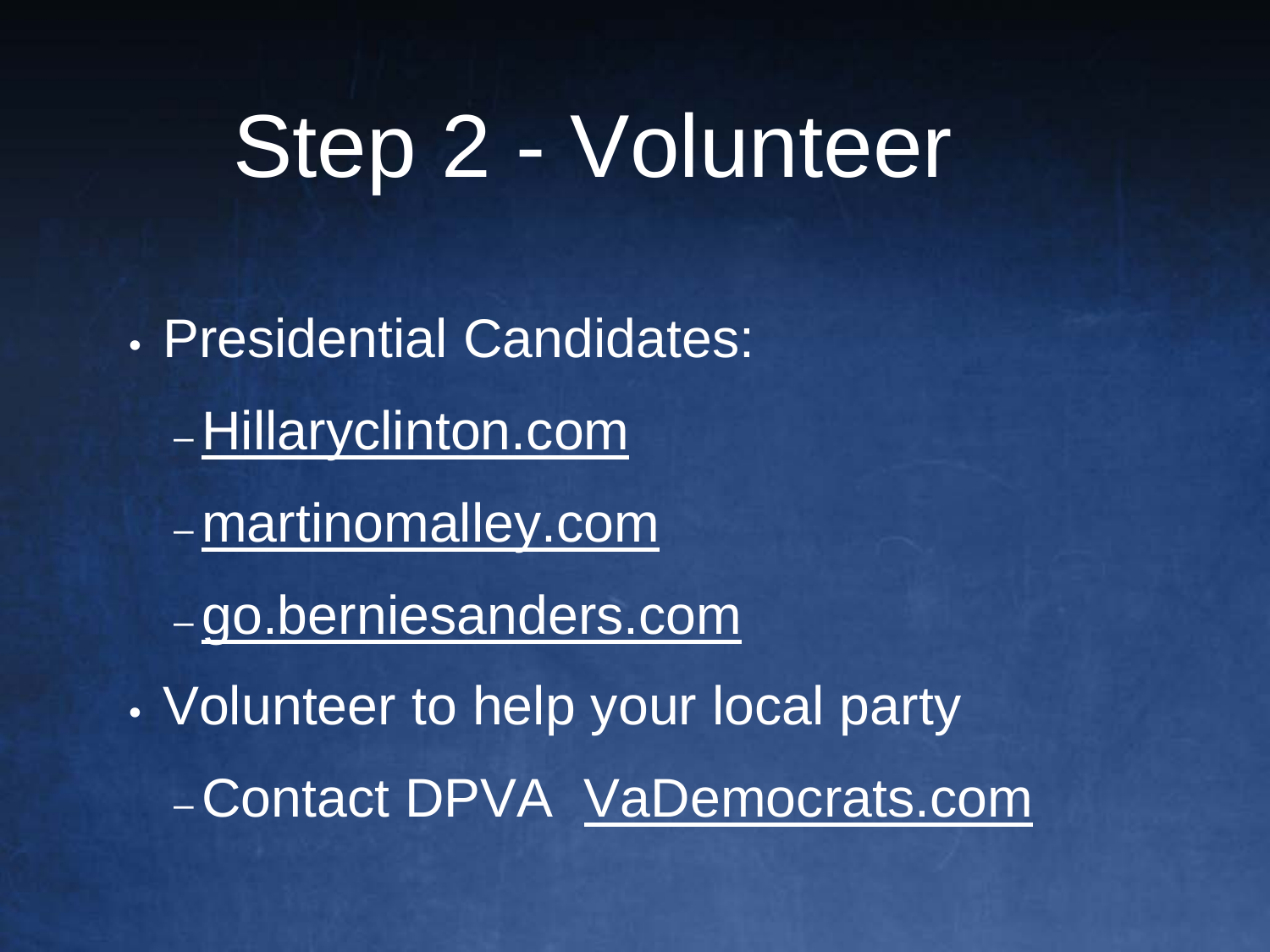## Step 2 - Volunteer

• Presidential Candidates: – Hillaryclinton.com – martinomalley.com – go.berniesanders.com • Volunteer to help your local party – Contact DPVA VaDemocrats.com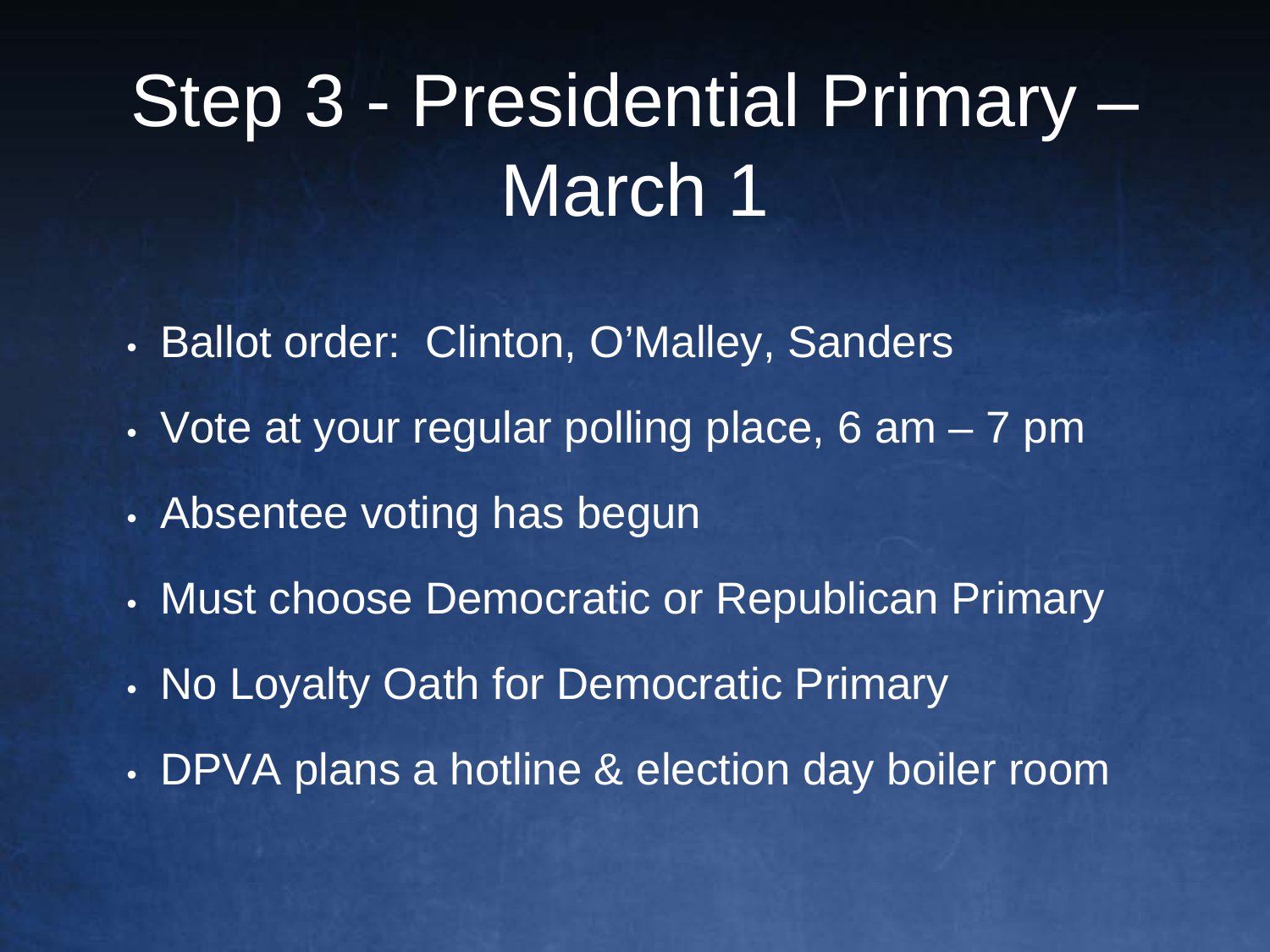#### Step 3 - Presidential Primary – March 1

- Ballot order: Clinton, O'Malley, Sanders
- Vote at your regular polling place, 6 am 7 pm
- Absentee voting has begun
- Must choose Democratic or Republican Primary
- No Loyalty Oath for Democratic Primary
- DPVA plans a hotline & election day boiler room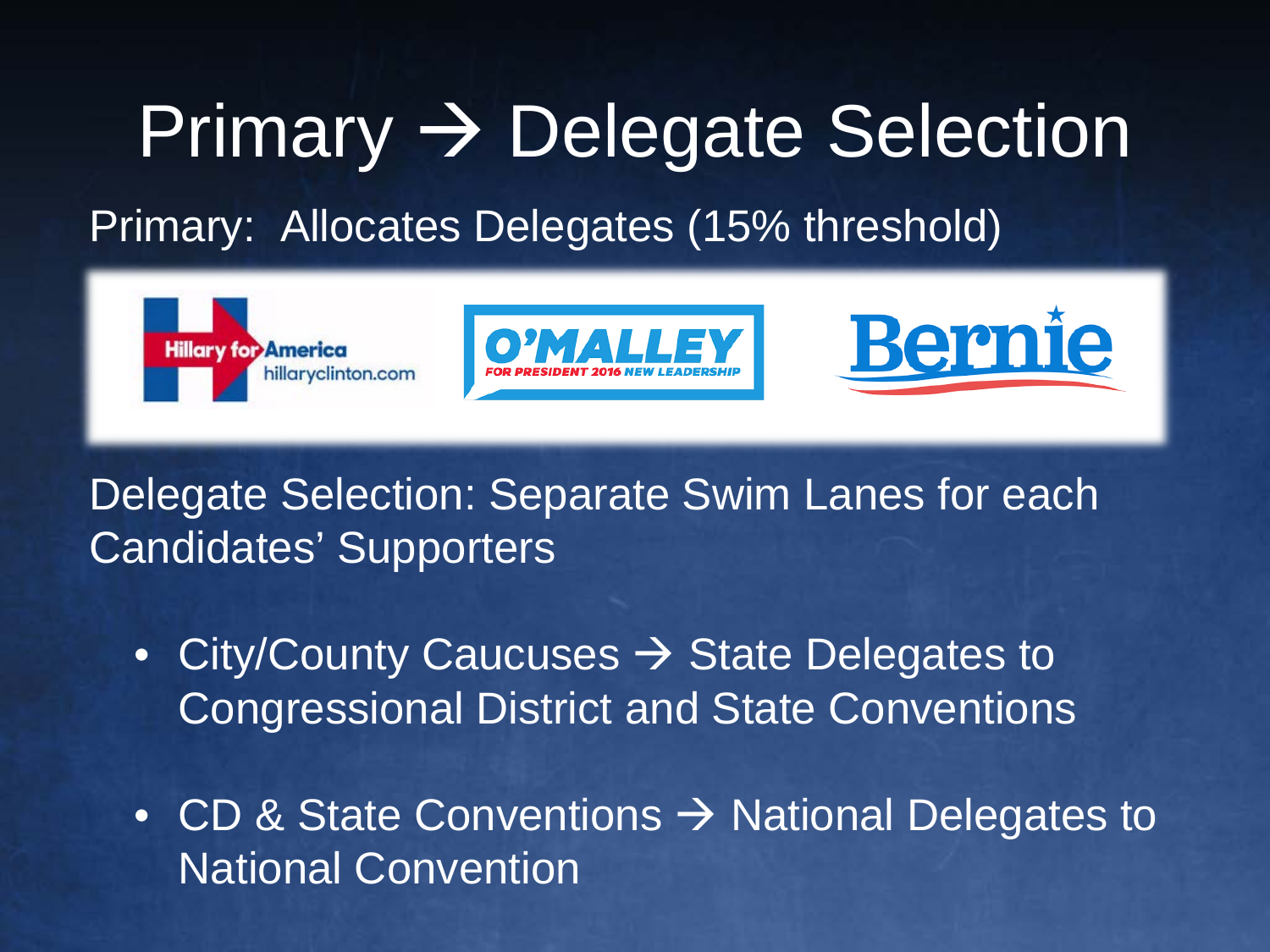#### Primary Delegate Selection

Primary: Allocates Delegates (15% threshold)



#### Delegate Selection: Separate Swim Lanes for each Candidates' Supporters

- City/County Caucuses  $\rightarrow$  State Delegates to Congressional District and State Conventions
- CD & State Conventions  $\rightarrow$  National Delegates to National Convention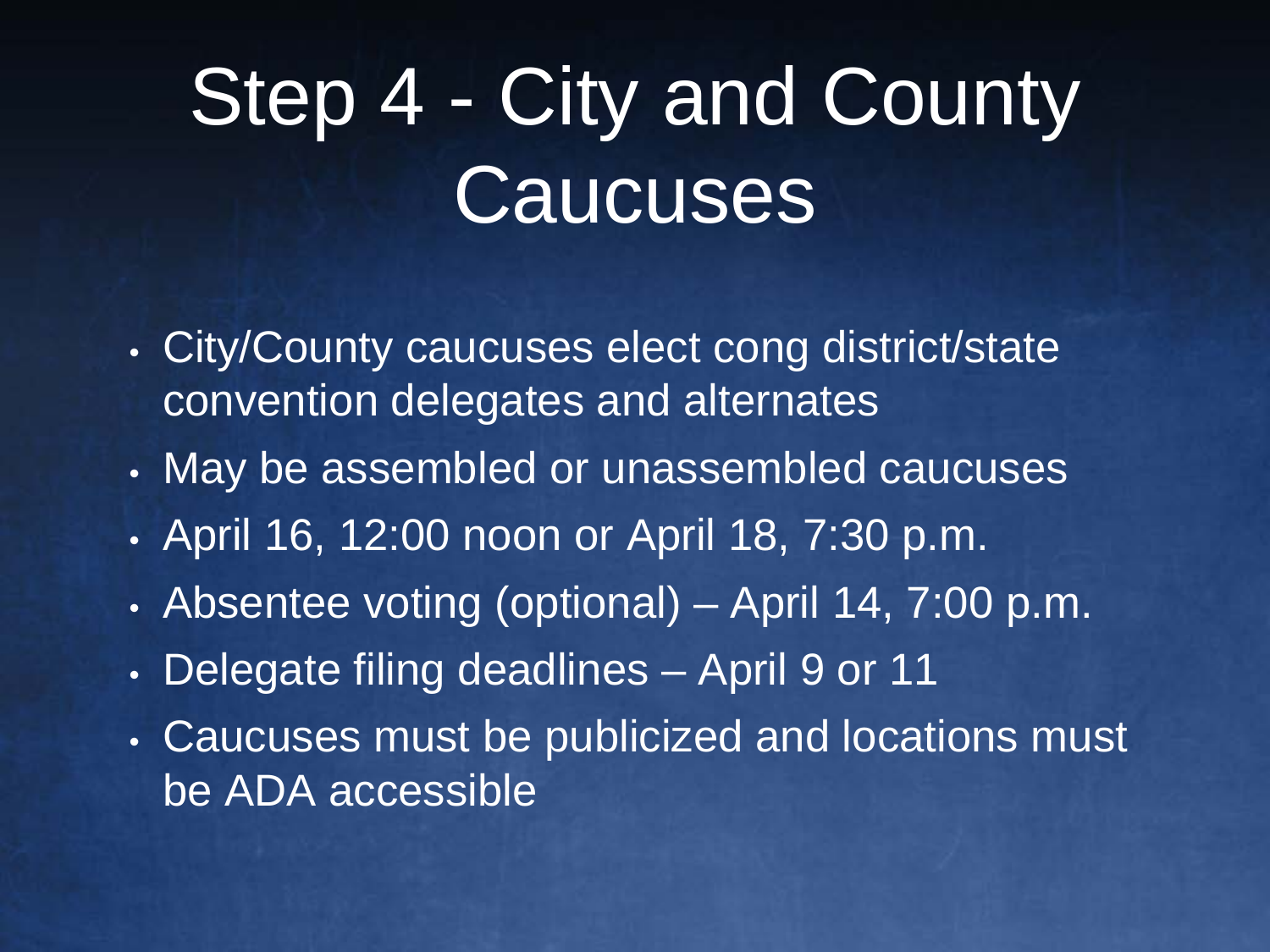# Step 4 - City and County **Caucuses**

- City/County caucuses elect cong district/state convention delegates and alternates
- May be assembled or unassembled caucuses
- April 16, 12:00 noon or April 18, 7:30 p.m.
- Absentee voting (optional) April 14, 7:00 p.m.
- Delegate filing deadlines April 9 or 11
- Caucuses must be publicized and locations must be ADA accessible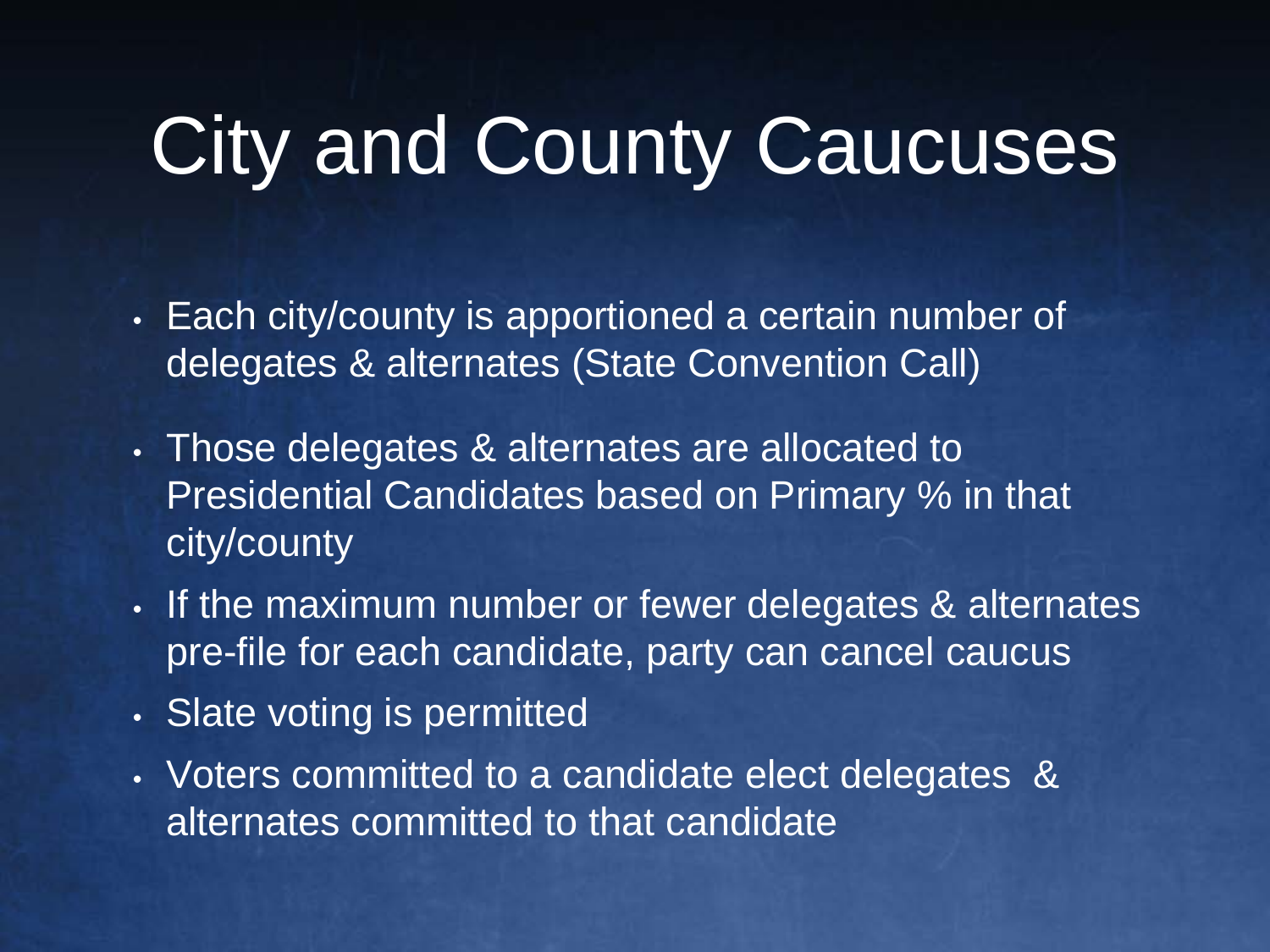## City and County Caucuses

- Each city/county is apportioned a certain number of delegates & alternates (State Convention Call)
- Those delegates & alternates are allocated to Presidential Candidates based on Primary % in that city/county
- If the maximum number or fewer delegates & alternates pre-file for each candidate, party can cancel caucus
- Slate voting is permitted
- Voters committed to a candidate elect delegates & alternates committed to that candidate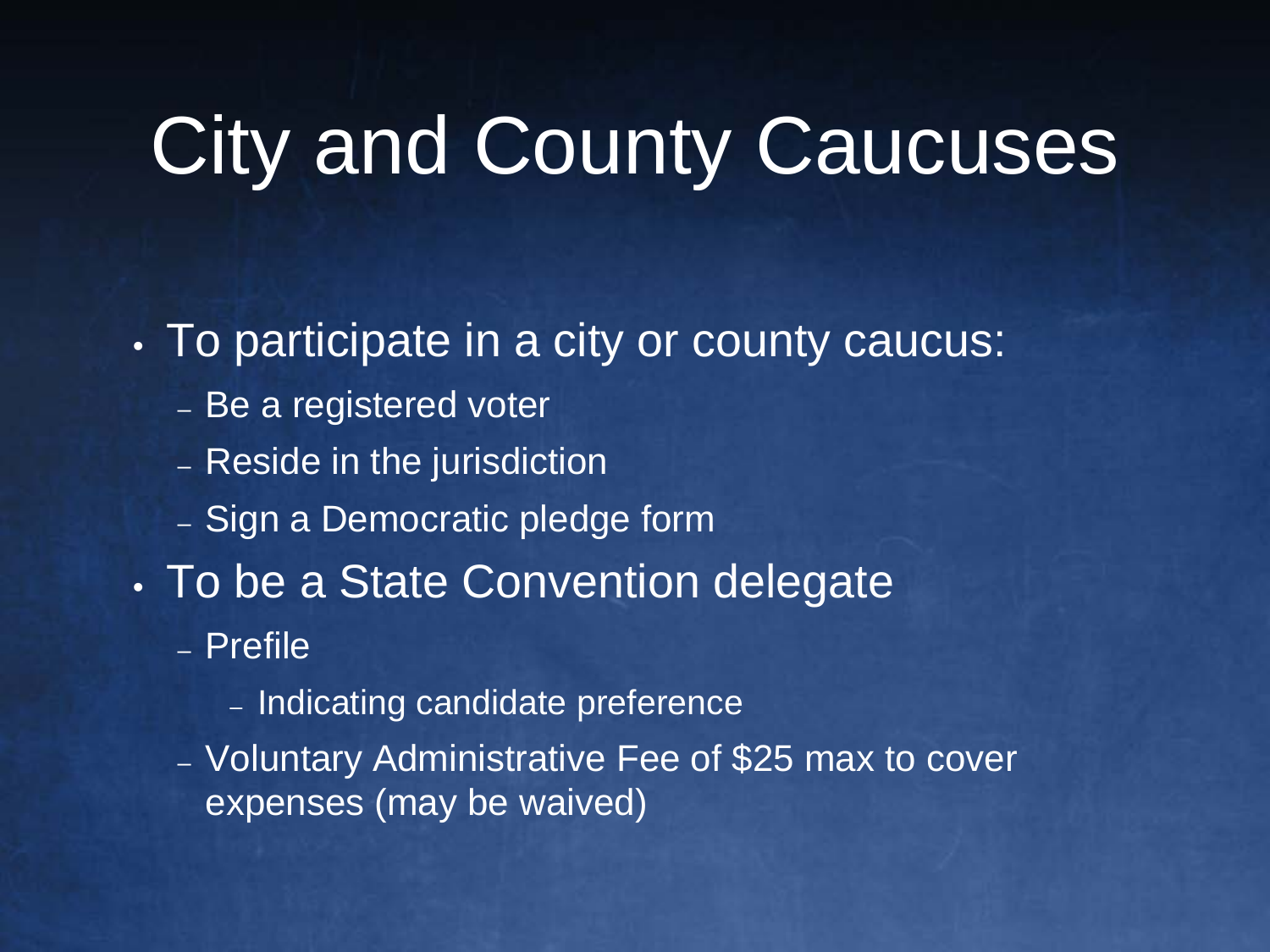## City and County Caucuses

• To participate in a city or county caucus:

- Be a registered voter
- Reside in the jurisdiction
- Sign a Democratic pledge form
- To be a State Convention delegate
	- Prefile
		- Indicating candidate preference
	- Voluntary Administrative Fee of \$25 max to cover expenses (may be waived)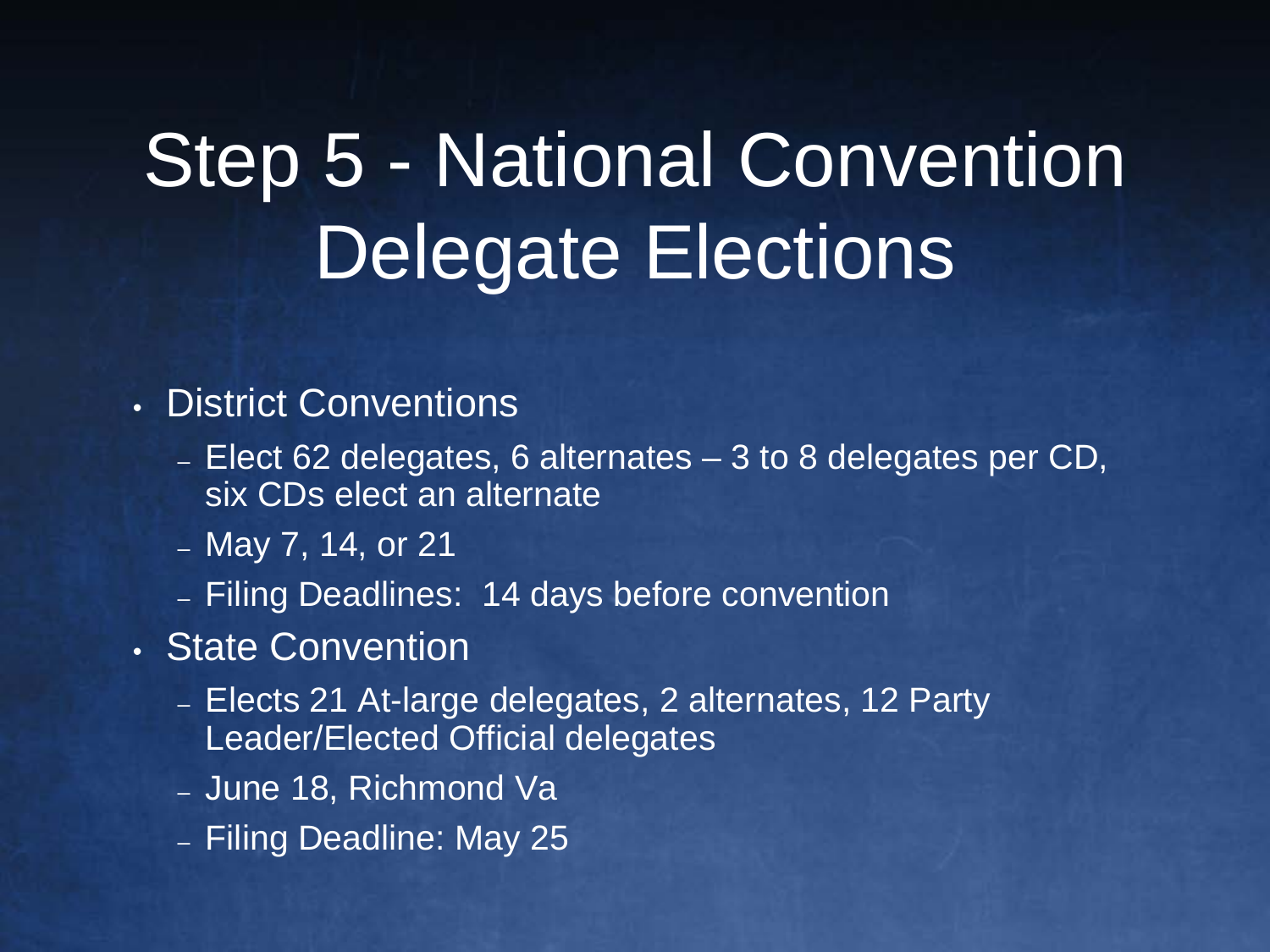## Step 5 - National Convention Delegate Elections

#### • District Conventions

- Elect 62 delegates, 6 alternates 3 to 8 delegates per CD, six CDs elect an alternate
- May 7, 14, or 21
- Filing Deadlines: 14 days before convention
- State Convention
	- Elects 21 At-large delegates, 2 alternates, 12 Party Leader/Elected Official delegates
	- June 18, Richmond Va
	- Filing Deadline: May 25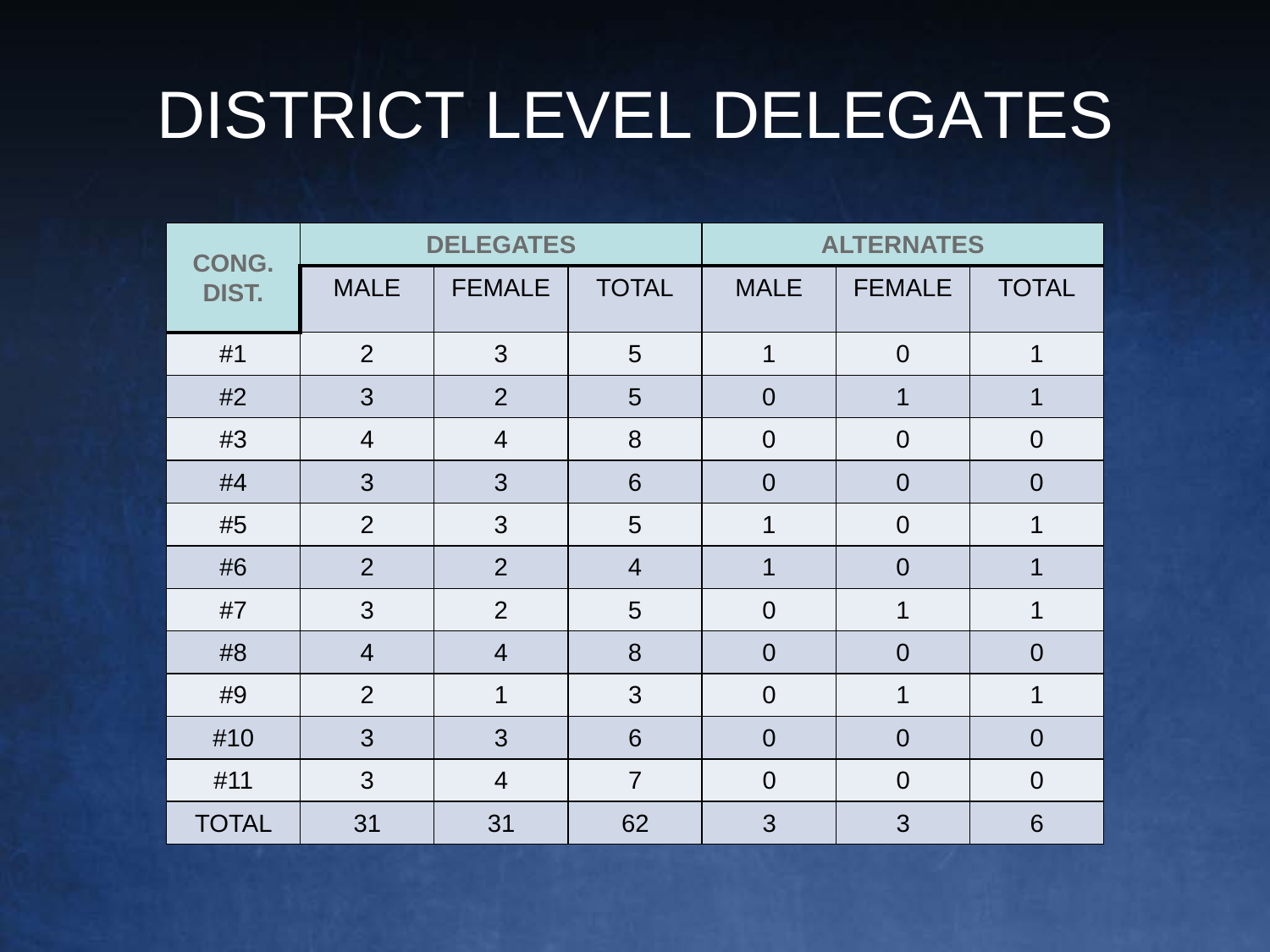#### DISTRICT LEVEL DELEGATES

| CONG.<br>DIST. | <b>DELEGATES</b> |                |                | <b>ALTERNATES</b> |                |                |
|----------------|------------------|----------------|----------------|-------------------|----------------|----------------|
|                | <b>MALE</b>      | <b>FEMALE</b>  | <b>TOTAL</b>   | <b>MALE</b>       | <b>FEMALE</b>  | <b>TOTAL</b>   |
| #1             | $\overline{2}$   | 3              | 5              | 1                 | $\overline{0}$ | 1              |
| #2             | 3                | $\overline{2}$ | 5              | $\overline{0}$    |                | 1              |
| #3             | $\overline{4}$   | $\overline{4}$ | 8              | $\overline{0}$    | $\overline{0}$ | $\overline{0}$ |
| #4             | 3                | 3              | 6              | $\overline{0}$    | $\overline{0}$ | $\overline{0}$ |
| #5             | $\overline{2}$   | 3              | 5              | 1                 | $\overline{0}$ | 1              |
| #6             | $\overline{2}$   | $\overline{2}$ | $\overline{4}$ |                   | $\overline{0}$ | 1              |
| #7             | 3                | $\overline{2}$ | 5              | $\overline{0}$    | 1              | 1              |
| #8             | $\overline{4}$   | $\overline{4}$ | 8              | $\overline{0}$    | $\overline{0}$ | $\overline{0}$ |
| #9             | $\overline{2}$   | 1              | 3              | $\overline{0}$    | 1              | 1              |
| #10            | 3                | 3              | 6              | $\overline{0}$    | $\overline{0}$ | $\overline{0}$ |
| #11            | 3                | $\overline{4}$ | $\overline{7}$ | $\overline{0}$    | $\Omega$       | $\overline{0}$ |
| <b>TOTAL</b>   | 31               | 31             | 62             | 3                 | 3              | 6              |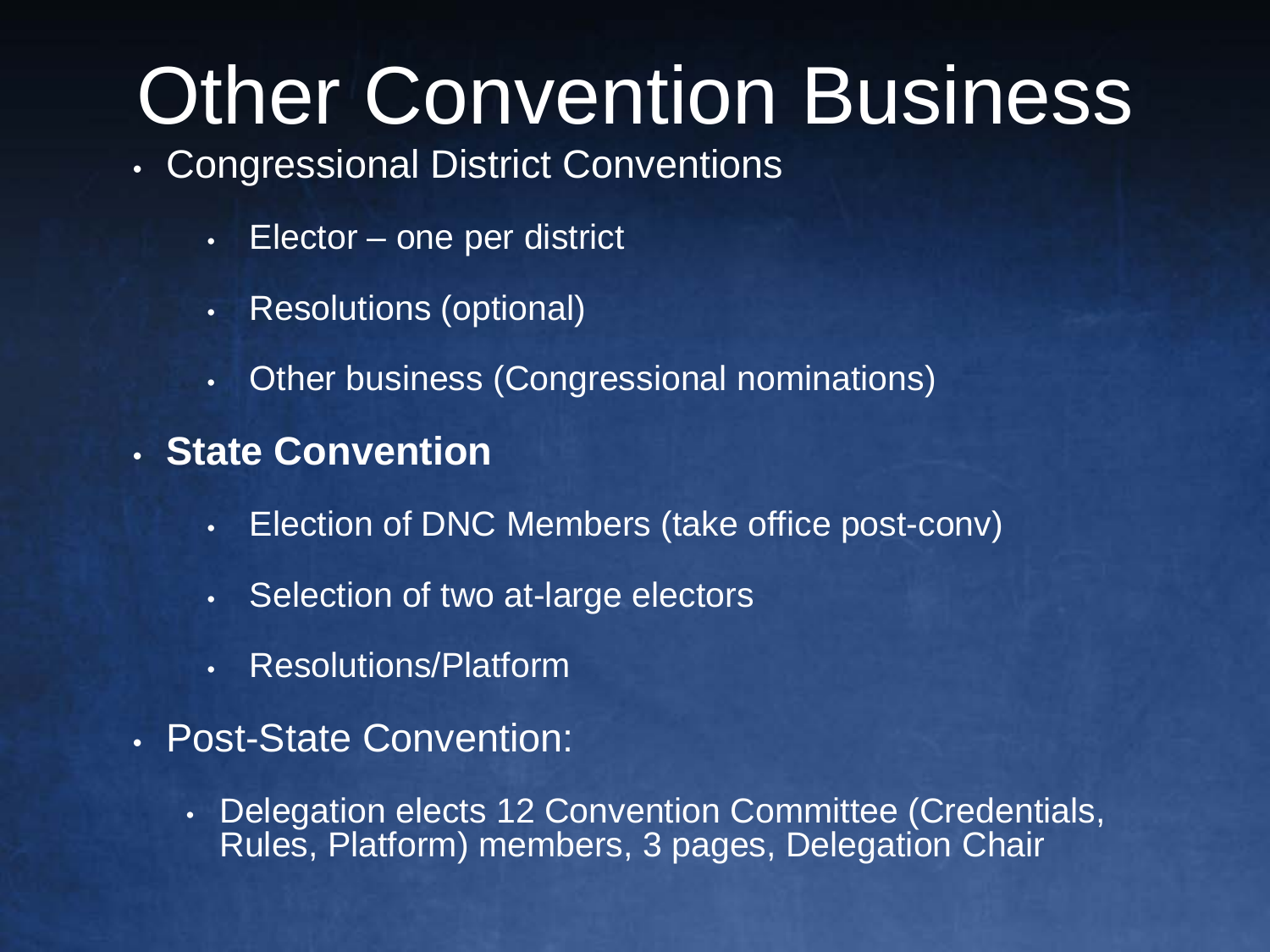## **Other Convention Business**

- Congressional District Conventions
	- Elector one per district
	- Resolutions (optional)
	- Other business (Congressional nominations)
- **State Convention**
	- Election of DNC Members (take office post-conv)
	- Selection of two at-large electors
	- Resolutions/Platform
- Post-State Convention:
	- Delegation elects 12 Convention Committee (Credentials, Rules, Platform) members, 3 pages, Delegation Chair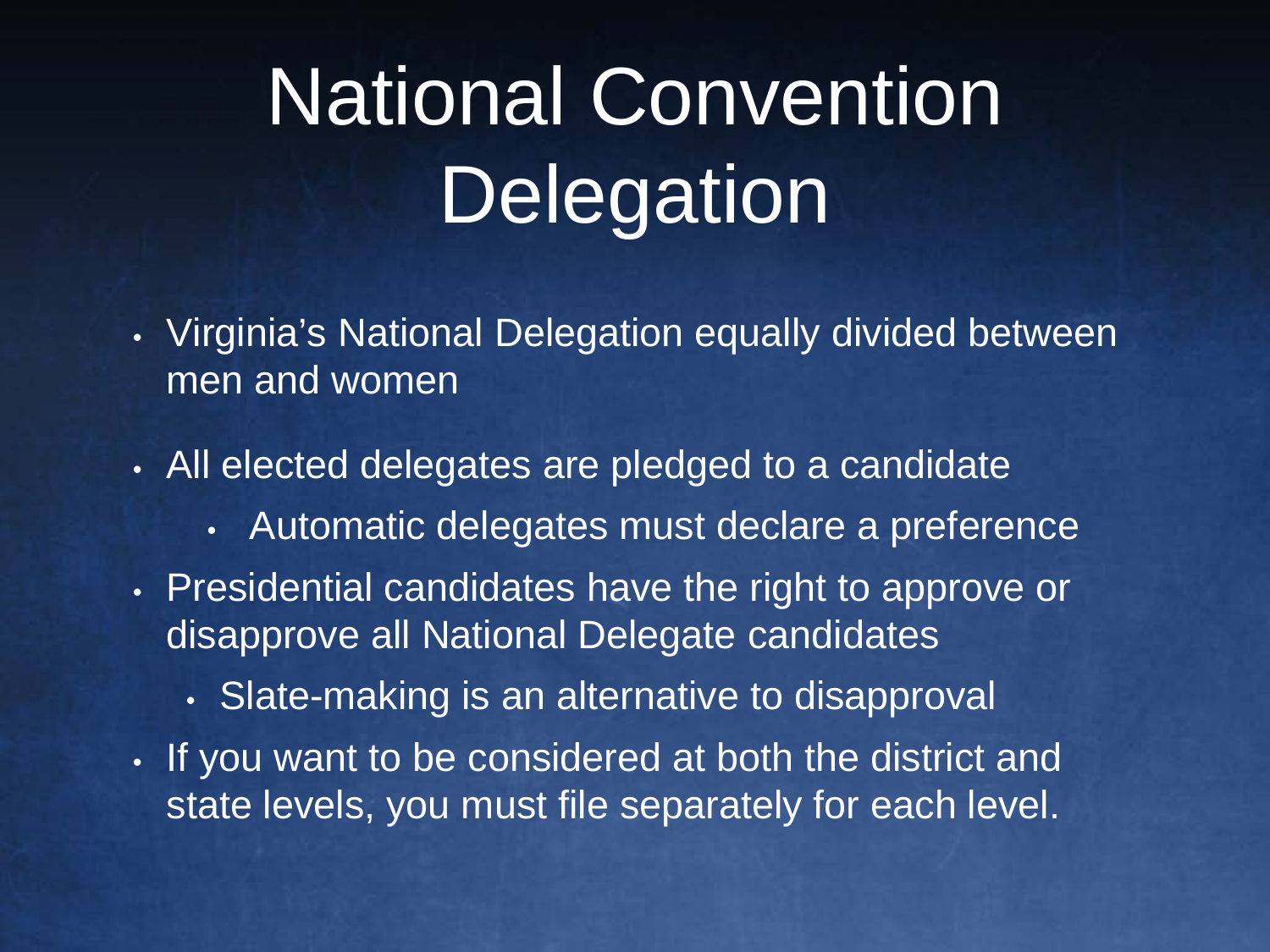# National Convention Delegation

- Virginia's National Delegation equally divided between men and women
- All elected delegates are pledged to a candidate
	- Automatic delegates must declare a preference
- Presidential candidates have the right to approve or disapprove all National Delegate candidates
	- Slate-making is an alternative to disapproval
- If you want to be considered at both the district and state levels, you must file separately for each level.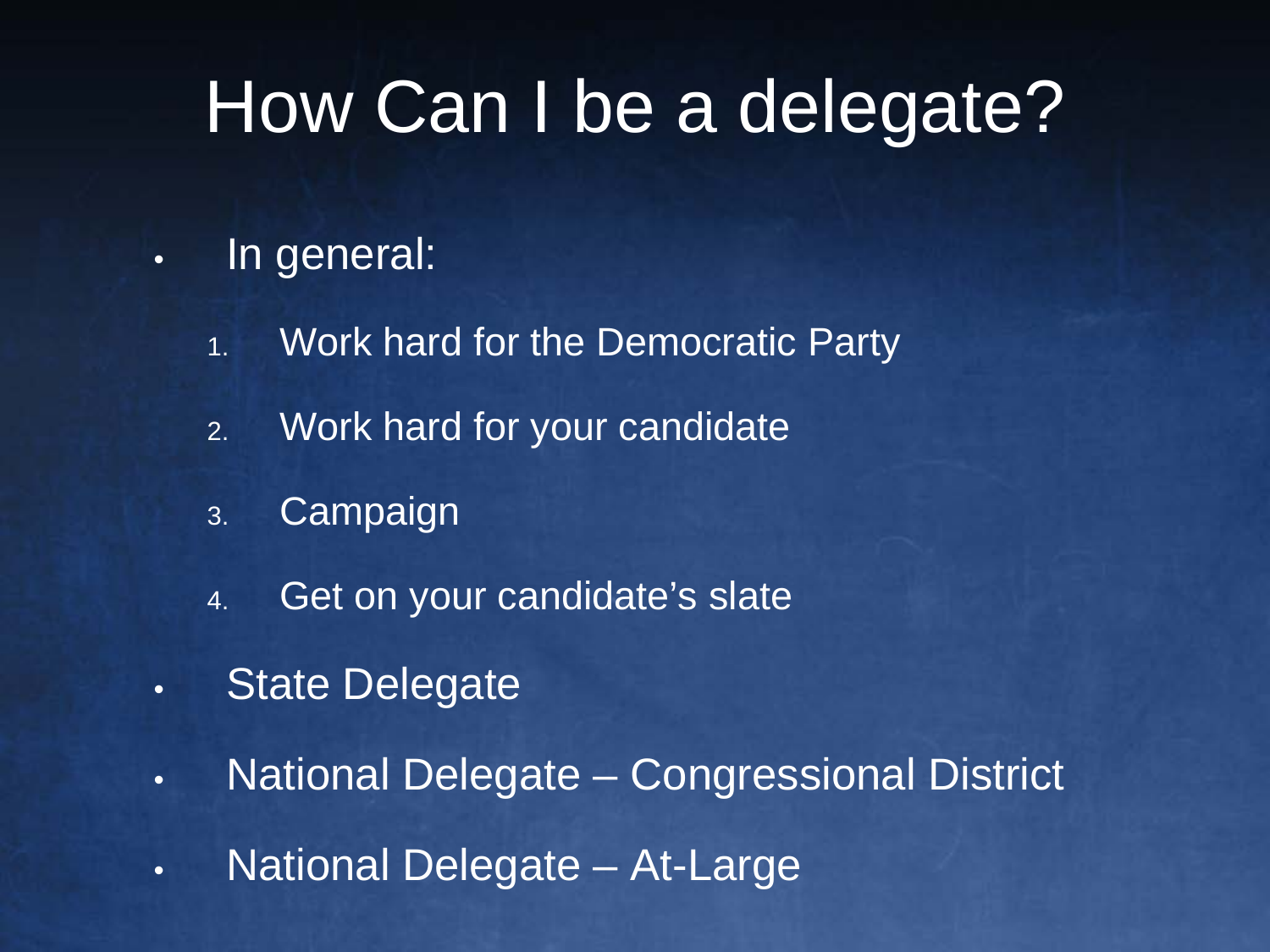#### How Can I be a delegate?

- In general:
	- 1. Work hard for the Democratic Party
	- 2. Work hard for your candidate
	- 3. Campaign
	- 4. Get on your candidate's slate
- State Delegate
- National Delegate Congressional District
- National Delegate At-Large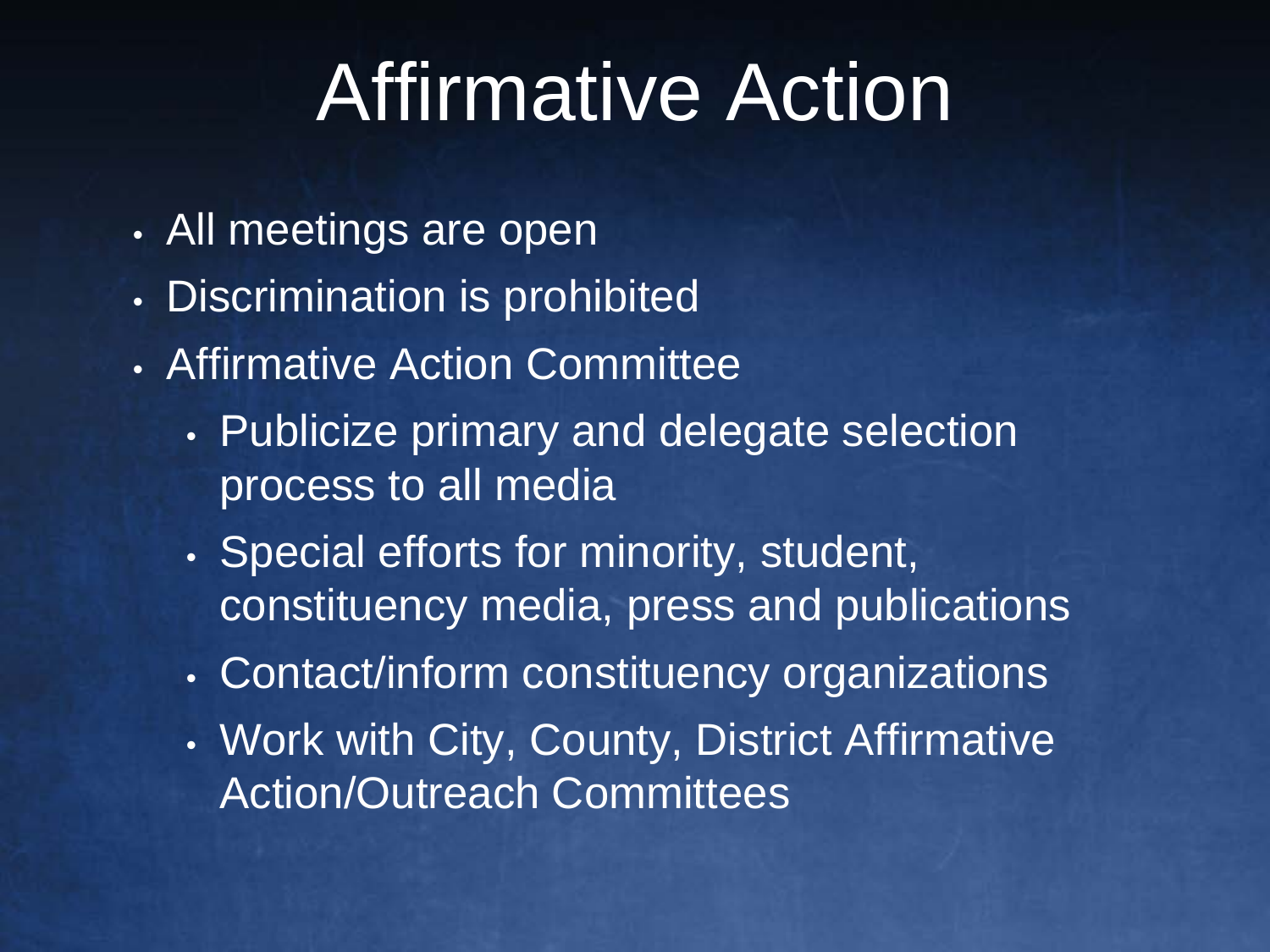### Affirmative Action

- All meetings are open
- Discrimination is prohibited
- Affirmative Action Committee
	- Publicize primary and delegate selection process to all media
	- Special efforts for minority, student, constituency media, press and publications
	- Contact/inform constituency organizations
	- Work with City, County, District Affirmative Action/Outreach Committees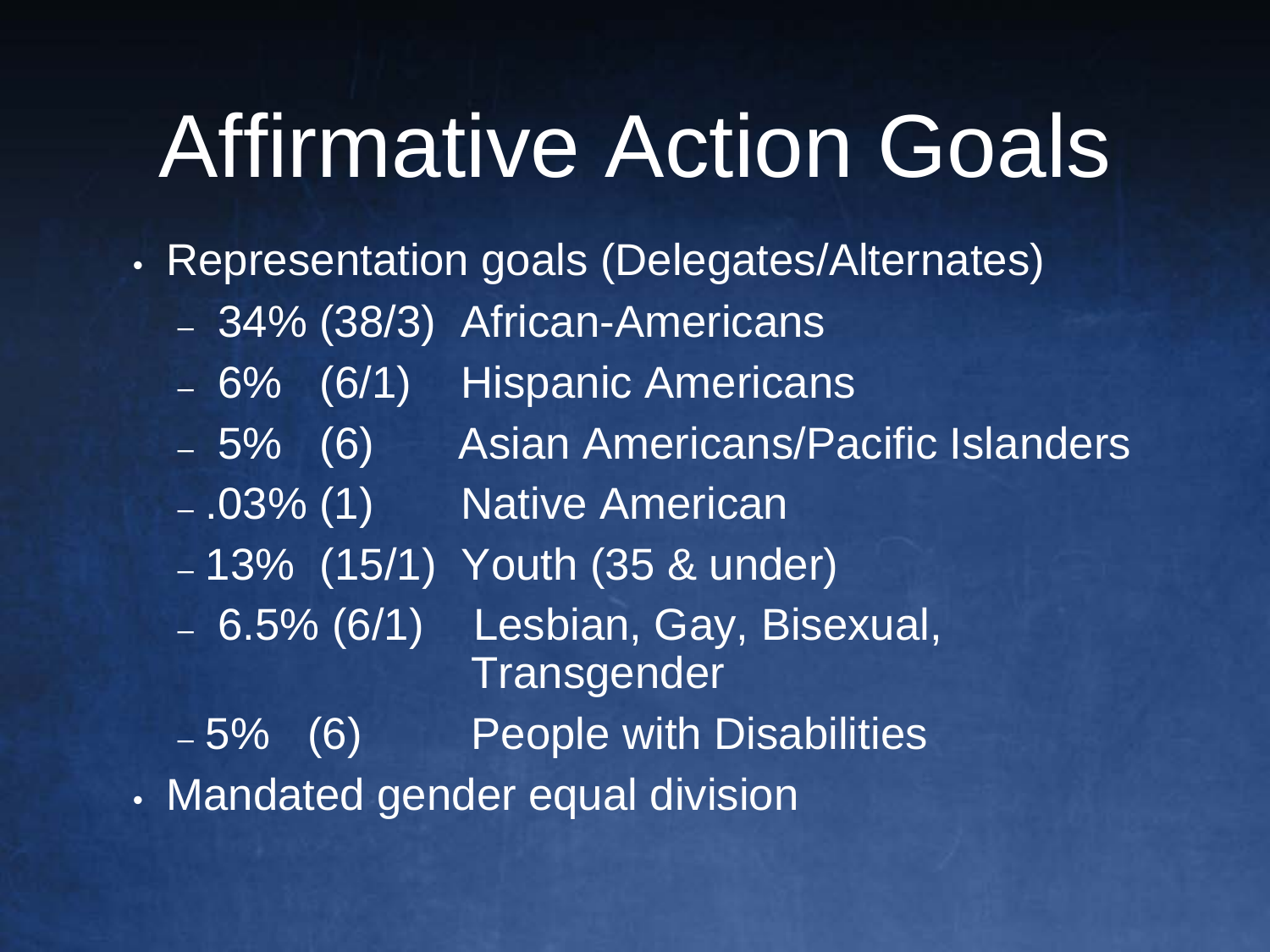# Affirmative Action Goals

- Representation goals (Delegates/Alternates)
	- 34% (38/3) African-Americans
	- 6% (6/1) Hispanic Americans
	- 5% (6) Asian Americans/Pacific Islanders
	- .03% (1) Native American
	- 13% (15/1) Youth (35 & under)
	- 6.5% (6/1) Lesbian, Gay, Bisexual, Transgender
	- 5% (6) People with Disabilities

• Mandated gender equal division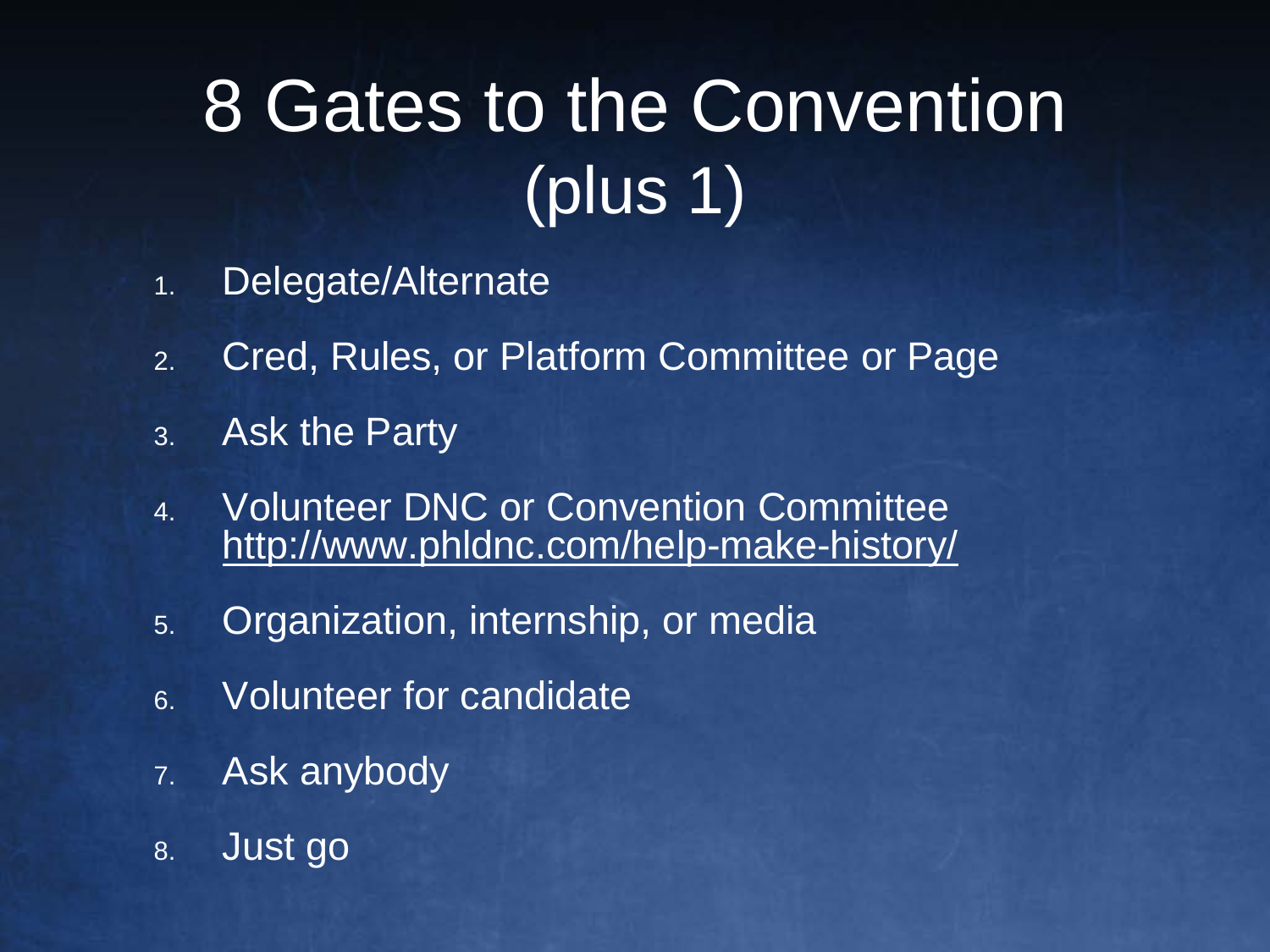#### 8 Gates to the Convention (plus 1)

- 1. Delegate/Alternate
- 2. Cred, Rules, or Platform Committee or Page
- 3. Ask the Party
- 4. Volunteer DNC or Convention Committee http://www.phldnc.com/help-make-history/
- 5. Organization, internship, or media
- 6. Volunteer for candidate
- 7. Ask anybody
- 8. Just go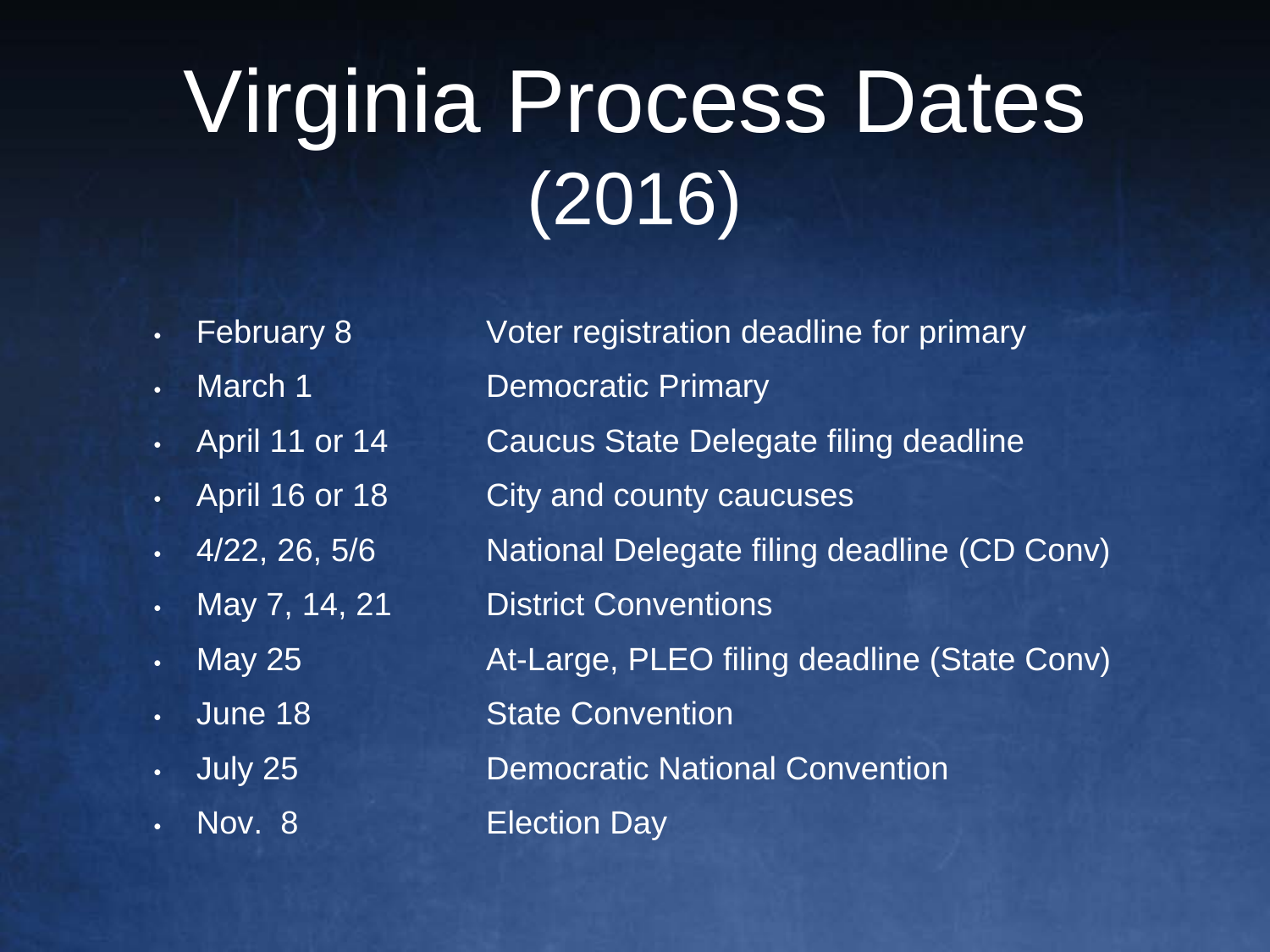# Virginia Process Dates (2016)

- 
- 
- 
- 
- 
- 
- 
- 
- 
- 

• February 8 Voter registration deadline for primary • March 1 Democratic Primary • April 11 or 14 Caucus State Delegate filing deadline • April 16 or 18 City and county caucuses • 4/22, 26, 5/6 National Delegate filing deadline (CD Conv) • May 7, 14, 21 District Conventions • May 25 At-Large, PLEO filing deadline (State Conv) • June 18 State Convention • July 25 Democratic National Convention • Nov. 8 **Election Day**